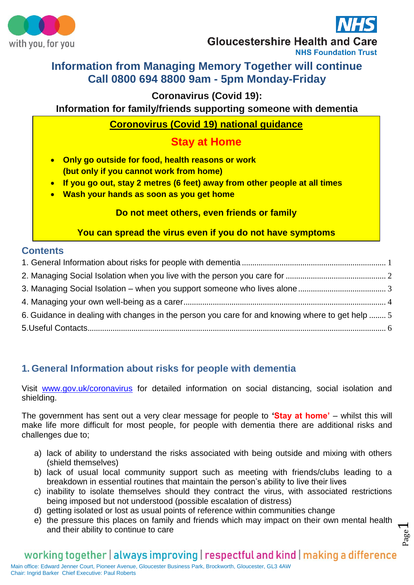



Page  $\overline{\phantom{0}}$ 

**Gloucestershire Health and Care** 

#### **NHS Foundation Trust**

# **Information from Managing Memory Together will continue Call 0800 694 8800 9am - 5pm Monday-Friday**

# **Coronavirus (Covid 19):**

**Information for family/friends supporting someone with dementia**

# **Coronovirus (Covid 19) national guidance**

# **Stay at Home**

- **Only go outside for food, health reasons or work (but only if you cannot work from home)**
- **If you go out, stay 2 metres (6 feet) away from other people at all times**
- **Wash your hands as soon as you get home**

# **Do not meet others, even friends or family**

**You can spread the virus even if you do not have symptoms**

# **Contents**

| 6. Guidance in dealing with changes in the person you care for and knowing where to get help  5 |  |
|-------------------------------------------------------------------------------------------------|--|
|                                                                                                 |  |
|                                                                                                 |  |

# <span id="page-0-0"></span>**1. General Information about risks for people with dementia**

Visit [www.gov.uk/coronavirus](http://www.gov.uk/coronavirus) for detailed information on social distancing, social isolation and shielding.

The government has sent out a very clear message for people to **'Stay at home'** – whilst this will make life more difficult for most people, for people with dementia there are additional risks and challenges due to;

- a) lack of ability to understand the risks associated with being outside and mixing with others (shield themselves)
- b) lack of usual local community support such as meeting with friends/clubs leading to a breakdown in essential routines that maintain the person's ability to live their lives
- c) inability to isolate themselves should they contract the virus, with associated restrictions being imposed but not understood (possible escalation of distress)
- d) getting isolated or lost as usual points of reference within communities change
- e) the pressure this places on family and friends which may impact on their own mental health and their ability to continue to care

# working together | always improving | respectful and kind | making a difference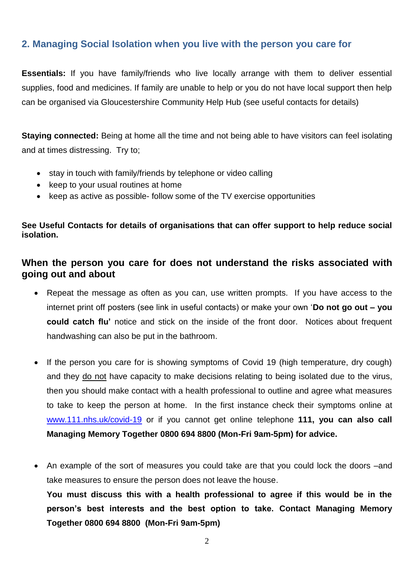# <span id="page-1-0"></span>**2. Managing Social Isolation when you live with the person you care for**

**Essentials:** If you have family/friends who live locally arrange with them to deliver essential supplies, food and medicines. If family are unable to help or you do not have local support then help can be organised via Gloucestershire Community Help Hub (see useful contacts for details)

**Staying connected:** Being at home all the time and not being able to have visitors can feel isolating and at times distressing. Try to;

- stay in touch with family/friends by telephone or video calling
- keep to your usual routines at home
- keep as active as possible- follow some of the TV exercise opportunities

## **See Useful Contacts for details of organisations that can offer support to help reduce social isolation.**

# **When the person you care for does not understand the risks associated with going out and about**

- Repeat the message as often as you can, use written prompts. If you have access to the internet print off posters (see link in useful contacts) or make your own '**Do not go out – you could catch flu'** notice and stick on the inside of the front door. Notices about frequent handwashing can also be put in the bathroom.
- If the person you care for is showing symptoms of Covid 19 (high temperature, dry cough) and they do not have capacity to make decisions relating to being isolated due to the virus, then you should make contact with a health professional to outline and agree what measures to take to keep the person at home. In the first instance check their symptoms online at [www.111.nhs.uk/covid-19](http://www.111.nhs.uk/covid-19) or if you cannot get online telephone **111, you can also call Managing Memory Together 0800 694 8800 (Mon-Fri 9am-5pm) for advice.**
- An example of the sort of measures you could take are that you could lock the doors –and take measures to ensure the person does not leave the house. **You must discuss this with a health professional to agree if this would be in the person's best interests and the best option to take. Contact Managing Memory Together 0800 694 8800 (Mon-Fri 9am-5pm)**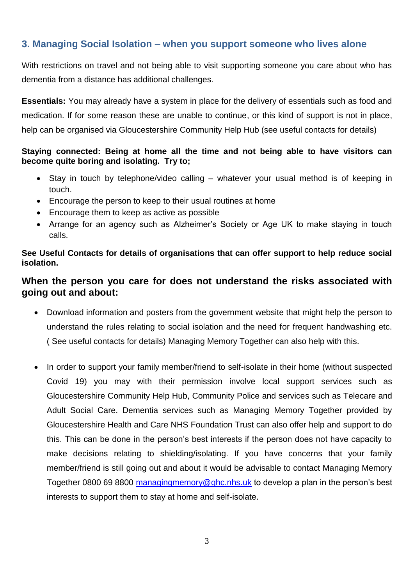# <span id="page-2-0"></span>**3. Managing Social Isolation – when you support someone who lives alone**

With restrictions on travel and not being able to visit supporting someone you care about who has dementia from a distance has additional challenges.

**Essentials:** You may already have a system in place for the delivery of essentials such as food and medication. If for some reason these are unable to continue, or this kind of support is not in place, help can be organised via Gloucestershire Community Help Hub (see useful contacts for details)

## **Staying connected: Being at home all the time and not being able to have visitors can become quite boring and isolating. Try to;**

- Stay in touch by telephone/video calling whatever your usual method is of keeping in touch.
- Encourage the person to keep to their usual routines at home
- Encourage them to keep as active as possible
- Arrange for an agency such as Alzheimer's Society or Age UK to make staying in touch calls.

**See Useful Contacts for details of organisations that can offer support to help reduce social isolation.**

# **When the person you care for does not understand the risks associated with going out and about:**

- Download information and posters from the government website that might help the person to understand the rules relating to social isolation and the need for frequent handwashing etc. ( See useful contacts for details) Managing Memory Together can also help with this.
- In order to support your family member/friend to self-isolate in their home (without suspected Covid 19) you may with their permission involve local support services such as Gloucestershire Community Help Hub, Community Police and services such as Telecare and Adult Social Care. Dementia services such as Managing Memory Together provided by Gloucestershire Health and Care NHS Foundation Trust can also offer help and support to do this. This can be done in the person's best interests if the person does not have capacity to make decisions relating to shielding/isolating. If you have concerns that your family member/friend is still going out and about it would be advisable to contact Managing Memory Together 0800 69 8800 [managingmemory@ghc.nhs.uk](mailto:managingmemory@ghc.nhs.uk) to develop a plan in the person's best interests to support them to stay at home and self-isolate.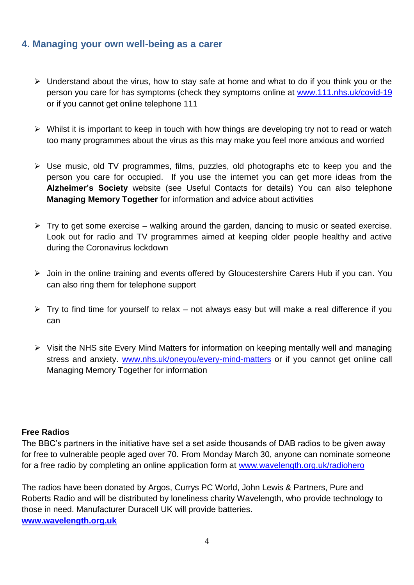# <span id="page-3-0"></span>**4. Managing your own well-being as a carer**

- $\triangleright$  Understand about the virus, how to stay safe at home and what to do if you think you or the person you care for has symptoms (check they symptoms online at [www.111.nhs.uk/covid-19](http://www.111.nhs.uk/covid-19)  or if you cannot get online telephone 111
- $\triangleright$  Whilst it is important to keep in touch with how things are developing try not to read or watch too many programmes about the virus as this may make you feel more anxious and worried
- $\triangleright$  Use music, old TV programmes, films, puzzles, old photographs etc to keep you and the person you care for occupied. If you use the internet you can get more ideas from the **Alzheimer's Society** website (see Useful Contacts for details) You can also telephone **Managing Memory Together** for information and advice about activities
- $\triangleright$  Try to get some exercise walking around the garden, dancing to music or seated exercise. Look out for radio and TV programmes aimed at keeping older people healthy and active during the Coronavirus lockdown
- Join in the online training and events offered by Gloucestershire Carers Hub if you can. You can also ring them for telephone support
- $\triangleright$  Try to find time for yourself to relax not always easy but will make a real difference if you can
- Visit the NHS site Every Mind Matters for information on keeping mentally well and managing stress and anxiety. [www.nhs.uk/oneyou/every-mind-matters](http://www.nhs.uk/oneyou/every-mind-matters) or if you cannot get online call Managing Memory Together for information

## **Free Radios**

The BBC's partners in the initiative have set a set aside thousands of DAB radios to be given away for free to vulnerable people aged over 70. From Monday March 30, anyone can nominate someone for a free radio by completing an online application form at [www.wavelength.org.uk/radiohero](http://www.wavelength.org.uk/radiohero?fbclid=IwAR0_Xo3deaKEVsXIYGV1ZXugOBMkcXT1PGDQGWTcjDkuoozL4Y4C2qF9--U)

The radios have been donated by Argos, Currys PC World, John Lewis & Partners, Pure and Roberts Radio and will be distributed by loneliness charity Wavelength, who provide technology to those in need. Manufacturer Duracell UK will provide batteries. **[www.wavelength.org.uk](http://www.wavelength.org.uk/radiohero?fbclid=IwAR2VqpzdWHnGCAJjdw0ZjKqihxLd3oS3IxaXao1gS9yze966dc19Pup0VCU)**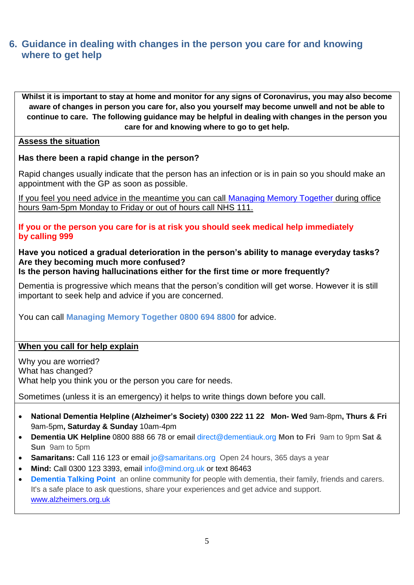# <span id="page-4-0"></span>**6. Guidance in dealing with changes in the person you care for and knowing where to get help**

**Whilst it is important to stay at home and monitor for any signs of Coronavirus, you may also become aware of changes in person you care for, also you yourself may become unwell and not be able to continue to care. The following guidance may be helpful in dealing with changes in the person you care for and knowing where to go to get help.**

#### **Assess the situation**

#### **Has there been a rapid change in the person?**

Rapid changes usually indicate that the person has an infection or is in pain so you should make an appointment with the GP as soon as possible.

If you feel you need advice in the meantime you can call [Managing Memory Together](https://www.ghc.nhs.uk/our-teams-and-services/managing-memory-together/) during office hours 9am-5pm Monday to Friday or out of hours call NHS 111.

**If you or the person you care for is at risk you should seek medical help immediately by calling 999**

# **Have you noticed a gradual deterioration in the person's ability to manage everyday tasks? Are they becoming much more confused?**

**Is the person having hallucinations either for the first time or more frequently?**

Dementia is progressive which means that the person's condition will get worse. However it is still important to seek help and advice if you are concerned.

You can call **Managing Memory Together 0800 694 8800** for advice.

#### **When you call for help explain**

Why you are worried? What has changed? What help you think you or the person you care for needs.

Sometimes (unless it is an emergency) it helps to write things down before you call.

- **National Dementia Helpline (Alzheimer's Society) [0300 222](tel:0300%20222%2011%2022) 11 22 Mon- Wed** 9am-8pm**, Thurs & Fri**  9am-5pm**, Saturday & Sunday** 10am-4pm
- **Dementia UK Helpline** 0800 888 66 78 or email [direct@dementiauk.org](mailto:direct@dementiauk.org) **Mon to Fri** 9am to 9pm **Sat & Sun** 9am to 5pm
- **Samaritans:** Call 116 123 or email [jo@samaritans.org](mailto:jo@samaritans.org) Open 24 hours, 365 days a year
- **Mind:** Call 0300 123 3393, email [info@mind.org.uk](mailto:info@mind.org.uk) or text 86463
- **[Dementia Talking Point](https://forum.alzheimers.org.uk/)** an online community for people with dementia, their family, friends and carers. It's a safe place to ask questions, share your experiences and get advice and support. [www.alzheimers.org.uk](http://www.alzheimers.org.uk/)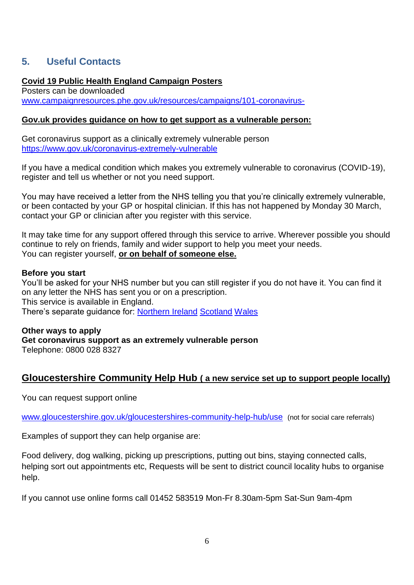# <span id="page-5-0"></span>**5. Useful Contacts**

## **Covid 19 Public Health England Campaign Posters**

Posters can be downloaded [www.campaignresources.phe.gov.uk/resources/campaigns/101-coronavirus-](http://www.campaignresources.phe.gov.uk/resources/campaigns/101-coronavirus-)

#### **Gov.uk provides guidance on how to get support as a vulnerable person:**

Get coronavirus support as a clinically extremely vulnerable person <https://www.gov.uk/coronavirus-extremely-vulnerable>

If you have a medical condition which makes you extremely vulnerable to coronavirus (COVID-19), register and tell us whether or not you need support.

You may have received a letter from the NHS telling you that you're clinically extremely vulnerable, or been contacted by your GP or hospital clinician. If this has not happened by Monday 30 March, contact your GP or clinician after you register with this service.

It may take time for any support offered through this service to arrive. Wherever possible you should continue to rely on friends, family and wider support to help you meet your needs. You can register yourself, **or on behalf of someone else.**

#### **Before you start**

You'll be asked for your NHS number but you can still register if you do not have it. You can find it on any letter the NHS has sent you or on a prescription. This service is available in England. There's separate guidance for: [Northern Ireland](https://www.health-ni.gov.uk/news/latest-update-coronavirus-covid-19-12) [Scotland](https://www.gov.scot/coronavirus-covid-19/) [Wales](https://gov.wales/coronavirus)

#### **Other ways to apply Get coronavirus support as an extremely vulnerable person** Telephone: 0800 028 8327

# **Gloucestershire Community Help Hub ( a new service set up to support people locally)**

You can request support online

[www.gloucestershire.gov.uk/gloucestershires-community-help-hub/use](http://www.gloucestershire.gov.uk/gloucestershires-community-help-hub/use) (not for social care referrals)

Examples of support they can help organise are:

Food delivery, dog walking, picking up prescriptions, putting out bins, staying connected calls, helping sort out appointments etc, Requests will be sent to district council locality hubs to organise help.

If you cannot use online forms call 01452 583519 Mon-Fr 8.30am-5pm Sat-Sun 9am-4pm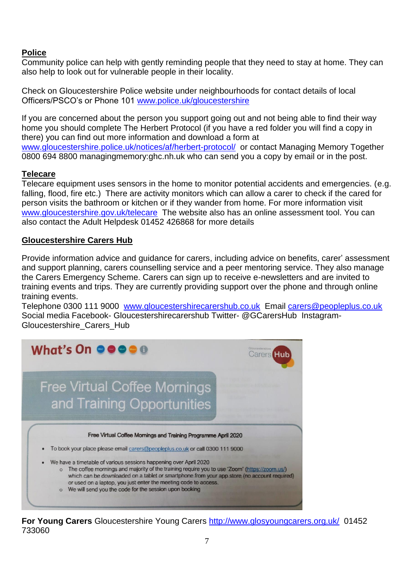## **Police**

Community police can help with gently reminding people that they need to stay at home. They can also help to look out for vulnerable people in their locality.

Check on Gloucestershire Police website under neighbourhoods for contact details of local Officers/PSCO's or Phone 101 [www.police.uk/gloucestershire](http://www.police.uk/gloucestershire)

If you are concerned about the person you support going out and not being able to find their way home you should complete The Herbert Protocol (if you have a red folder you will find a copy in there) you can find out more information and download a form at [www.gloucestershire.police.uk/notices/af/herbert-protocol/](http://www.gloucestershire.police.uk/notices/af/herbert-protocol/) or contact Managing Memory Together 0800 694 8800 managingmemory:ghc.nh.uk who can send you a copy by email or in the post.

# **Telecare**

Telecare equipment uses sensors in the home to monitor potential accidents and emergencies. (e.g. falling, flood, fire etc.) There are activity monitors which can allow a carer to check if the cared for person visits the bathroom or kitchen or if they wander from home. For more information visit [www.gloucestershire.gov.uk/telecare](http://www.gloucestershire.gov.uk/telecare) The website also has an online assessment tool. You can also contact the Adult Helpdesk 01452 426868 for more details

## **Gloucestershire Carers Hub**

Provide information advice and guidance for carers, including advice on benefits, carer' assessment and support planning, carers counselling service and a peer mentoring service. They also manage the Carers Emergency Scheme. Carers can sign up to receive e-newsletters and are invited to training events and trips. They are currently providing support over the phone and through online training events.

Telephone 0300 111 9000 [www.gloucestershirecarershub.co.uk](http://www.gloucestershirecarershub.co.uk/) Email [carers@peopleplus.co.uk](mailto:carers@peopleplus.co.uk)  Social media Facebook- Gloucestershirecarershub Twitter- @GCarersHub Instagram-Gloucestershire\_Carers\_Hub



**For Young Carers** Gloucestershire Young Carers<http://www.glosyoungcarers.org.uk/>01452 733060